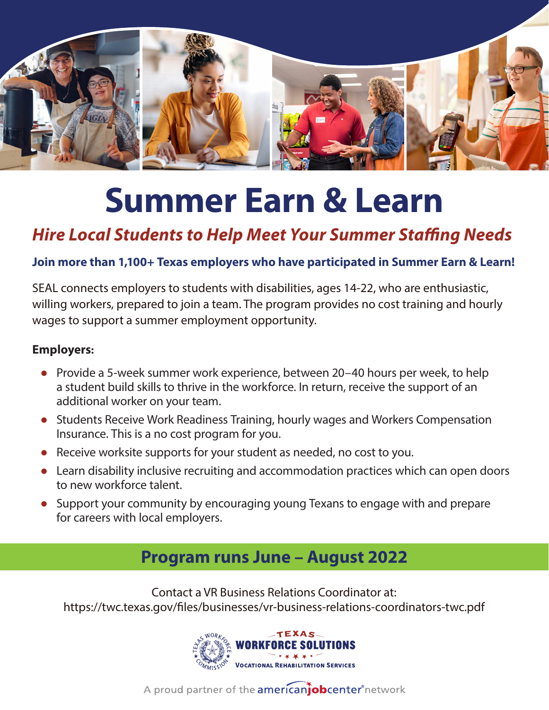

# **Summer Earn & Learn**

## *Hire Local Students to Help Meet Your Summer Staffing Needs*

#### **Join more than 1,100+ Texas employers who have participated in Summer Earn & Learn!**

SEAL connects employers to students with disabilities, ages 14-22, who are enthusiastic, willing workers, prepared to join a team. The program provides no cost training and hourly wages to support a summer employment opportunity.

#### **Employers:**

- Provide a 5-week summer work experience, between 20-40 hours per week, to help a student build skills to thrive in the workforce. In return, receive the support of an additional worker on your team.
- Students Receive Work Readiness Training, hourly wages and Workers Compensation Insurance. This is a no cost program for you.
- Receive worksite supports for your student as needed, no cost to you.
- Learn disability inclusive recruiting and accommodation practices which can open doors to new workforce talent.
- Support your community by encouraging young Texans to engage with and prepare for careers with local employers.

### **Program runs June – August 2022**

Contact a VR Business Relations Coordinator at: https://twc.texas.gov/files/businesses/vr-business-relations-coordinators-twc.pdf



A proud partner of the **americanjob center** network